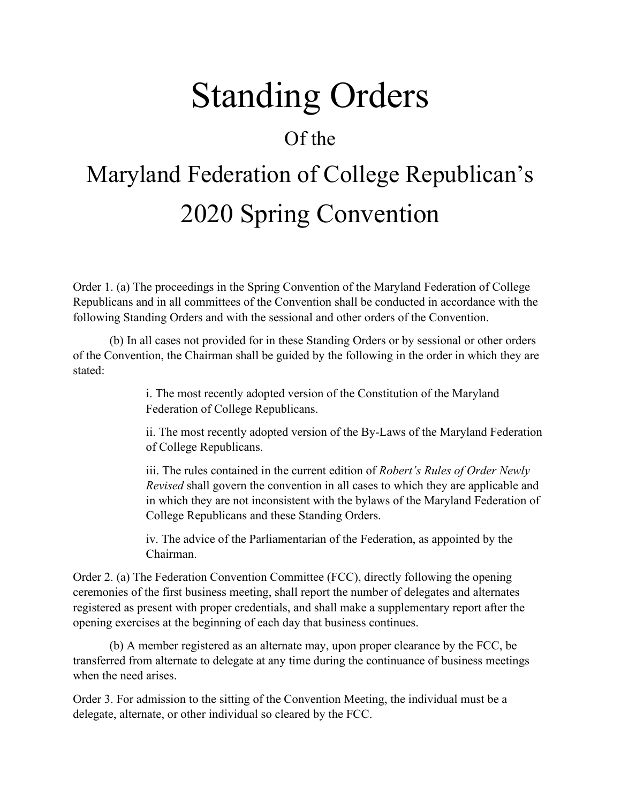## Standing Orders

## Of the

## Maryland Federation of College Republican's 2020 Spring Convention

Order 1. (a) The proceedings in the Spring Convention of the Maryland Federation of College Republicans and in all committees of the Convention shall be conducted in accordance with the following Standing Orders and with the sessional and other orders of the Convention.

(b) In all cases not provided for in these Standing Orders or by sessional or other orders of the Convention, the Chairman shall be guided by the following in the order in which they are stated:

> i. The most recently adopted version of the Constitution of the Maryland Federation of College Republicans.

ii. The most recently adopted version of the By-Laws of the Maryland Federation of College Republicans.

iii. The rules contained in the current edition of *Robert's Rules of Order Newly Revised* shall govern the convention in all cases to which they are applicable and in which they are not inconsistent with the bylaws of the Maryland Federation of College Republicans and these Standing Orders.

iv. The advice of the Parliamentarian of the Federation, as appointed by the Chairman.

Order 2. (a) The Federation Convention Committee (FCC), directly following the opening ceremonies of the first business meeting, shall report the number of delegates and alternates registered as present with proper credentials, and shall make a supplementary report after the opening exercises at the beginning of each day that business continues.

(b) A member registered as an alternate may, upon proper clearance by the FCC, be transferred from alternate to delegate at any time during the continuance of business meetings when the need arises.

Order 3. For admission to the sitting of the Convention Meeting, the individual must be a delegate, alternate, or other individual so cleared by the FCC.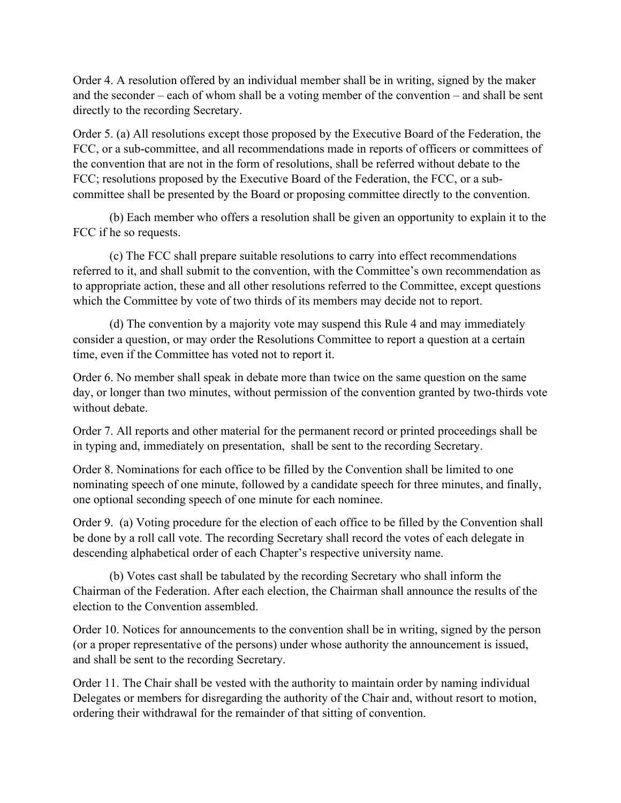Order 4. A resolution offered by an individual member shall be in writing, signed by the maker and the seconder – each of whom shall be a voting member of the convention – and shall be sent directly to the recording Secretary.

Order 5. (a) All resolutions except those proposed by the Executive Board of the Federation, the FCC, or a sub-committee, and all recommendations made in reports of officers or committees of the convention that are not in the form of resolutions, shall be referred without debate to the FCC; resolutions proposed by the Executive Board of the Federation, the FCC, or a subcommittee shall be presented by the Board or proposing committee directly to the convention.

(b) Each member who offers a resolution shall be given an opportunity to explain it to the FCC if he so requests.

(c) The FCC shall prepare suitable resolutions to carry into effect recommendations referred to it, and shall submit to the convention, with the Committee's own recommendation as to appropriate action, these and all other resolutions referred to the Committee, except questions which the Committee by vote of two thirds of its members may decide not to report.

(d) The convention by a majority vote may suspend this Rule 4 and may immediately consider a question, or may order the Resolutions Committee to report a question at a certain time, even if the Committee has voted not to report it.

Order 6. No member shall speak in debate more than twice on the same question on the same day, or longer than two minutes, without permission of the convention granted by two-thirds vote without debate.

Order 7. All reports and other material for the permanent record or printed proceedings shall be in typing and, immediately on presentation, shall be sent to the recording Secretary.

Order 8. Nominations for each office to be filled by the Convention shall be limited to one nominating speech of one minute, followed by a candidate speech for three minutes, and finally, one optional seconding speech of one minute for each nominee.

Order 9. (a) Voting procedure for the election of each office to be filled by the Convention shall be done by a roll call vote. The recording Secretary shall record the votes of each delegate in descending alphabetical order of each Chapter's respective university name.

(b) Votes cast shall be tabulated by the recording Secretary who shall inform the Chairman of the Federation. After each election, the Chairman shall announce the results of the election to the Convention assembled.

Order 10. Notices for announcements to the convention shall be in writing, signed by the person (or a proper representative of the persons) under whose authority the announcement is issued, and shall be sent to the recording Secretary.

Order 11. The Chair shall be vested with the authority to maintain order by naming individual Delegates or members for disregarding the authority of the Chair and, without resort to motion, ordering their withdrawal for the remainder of that sitting of convention.